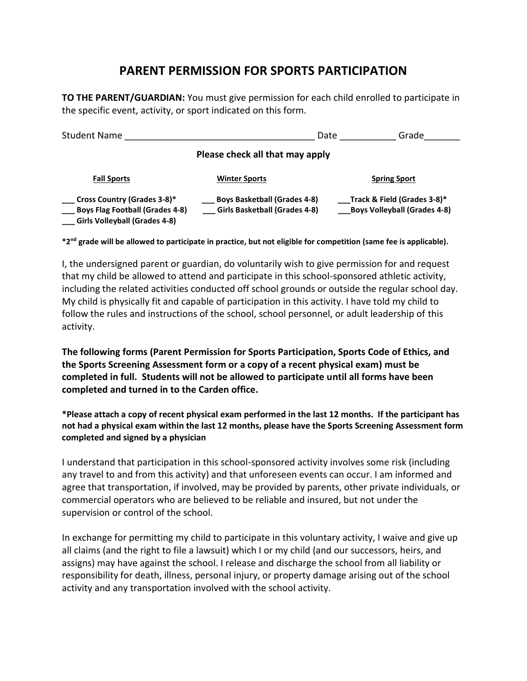## **PARENT PERMISSION FOR SPORTS PARTICIPATION**

**TO THE PARENT/GUARDIAN:** You must give permission for each child enrolled to participate in the specific event, activity, or sport indicated on this form.

| <b>Student Name</b>                                                                                                  | Date                                                                        | Grade                                                              |  |
|----------------------------------------------------------------------------------------------------------------------|-----------------------------------------------------------------------------|--------------------------------------------------------------------|--|
| Please check all that may apply                                                                                      |                                                                             |                                                                    |  |
| <b>Fall Sports</b>                                                                                                   | <b>Winter Sports</b>                                                        | <b>Spring Sport</b>                                                |  |
| <b>Cross Country (Grades 3-8)*</b><br><b>Boys Flag Football (Grades 4-8)</b><br><b>Girls Volleyball (Grades 4-8)</b> | <b>Boys Basketball (Grades 4-8)</b><br><b>Girls Basketball (Grades 4-8)</b> | Track & Field (Grades 3-8)*<br><b>Boys Volleyball (Grades 4-8)</b> |  |

**\*2nd grade will be allowed to participate in practice, but not eligible for competition (same fee is applicable).**

I, the undersigned parent or guardian, do voluntarily wish to give permission for and request that my child be allowed to attend and participate in this school-sponsored athletic activity, including the related activities conducted off school grounds or outside the regular school day. My child is physically fit and capable of participation in this activity. I have told my child to follow the rules and instructions of the school, school personnel, or adult leadership of this activity.

**The following forms (Parent Permission for Sports Participation, Sports Code of Ethics, and the Sports Screening Assessment form or a copy of a recent physical exam) must be completed in full. Students will not be allowed to participate until all forms have been completed and turned in to the Carden office.**

**\*Please attach a copy of recent physical exam performed in the last 12 months. If the participant has not had a physical exam within the last 12 months, please have the Sports Screening Assessment form completed and signed by a physician**

I understand that participation in this school-sponsored activity involves some risk (including any travel to and from this activity) and that unforeseen events can occur. I am informed and agree that transportation, if involved, may be provided by parents, other private individuals, or commercial operators who are believed to be reliable and insured, but not under the supervision or control of the school.

In exchange for permitting my child to participate in this voluntary activity, I waive and give up all claims (and the right to file a lawsuit) which I or my child (and our successors, heirs, and assigns) may have against the school. I release and discharge the school from all liability or responsibility for death, illness, personal injury, or property damage arising out of the school activity and any transportation involved with the school activity.